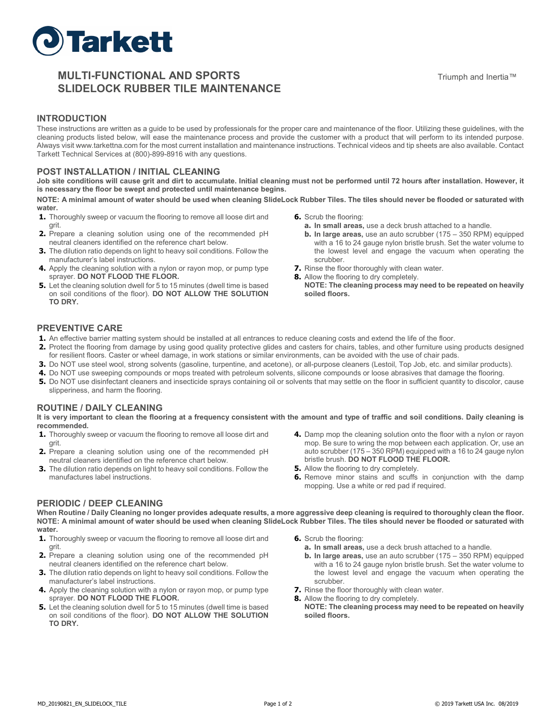

# **MULTI-FUNCTIONAL AND SPORTS SLIDELOCK RUBBER TILE MAINTENANCE**

### **INTRODUCTION**

These instructions are written as a guide to be used by professionals for the proper care and maintenance of the floor. Utilizing these guidelines, with the cleaning products listed below, will ease the maintenance process and provide the customer with a product that will perform to its intended purpose. Always visit www.tarkettna.com for the most current installation and maintenance instructions. Technical videos and tip sheets are also available. Contact Tarkett Technical Services at (800)-899-8916 with any questions.

### **POST INSTALLATION / INITIAL CLEANING**

**Job site conditions will cause grit and dirt to accumulate. Initial cleaning must not be performed until 72 hours after installation. However, it is necessary the floor be swept and protected until maintenance begins.**

**NOTE: A minimal amount of water should be used when cleaning SlideLock Rubber Tiles. The tiles should never be flooded or saturated with water.**

- **1.** Thoroughly sweep or vacuum the flooring to remove all loose dirt and grit.
- **2.** Prepare a cleaning solution using one of the recommended pH neutral cleaners identified on the reference chart below.
- **3.** The dilution ratio depends on light to heavy soil conditions. Follow the manufacturer's label instructions.
- **4.** Apply the cleaning solution with a nylon or rayon mop, or pump type sprayer. **DO NOT FLOOD THE FLOOR.**
- **5.** Let the cleaning solution dwell for 5 to 15 minutes (dwell time is based on soil conditions of the floor). **DO NOT ALLOW THE SOLUTION TO DRY.**
- **6.** Scrub the flooring:
	- **a. In small areas,** use a deck brush attached to a handle.
	- **b. In large areas,** use an auto scrubber (175 350 RPM) equipped with a 16 to 24 gauge nylon bristle brush. Set the water volume to the lowest level and engage the vacuum when operating the scrubber.
- **7.** Rinse the floor thoroughly with clean water.
- **8.** Allow the flooring to dry completely.
	- **NOTE: The cleaning process may need to be repeated on heavily soiled floors.**

#### **PREVENTIVE CARE**

- **1.** An effective barrier matting system should be installed at all entrances to reduce cleaning costs and extend the life of the floor.
- **2.** Protect the flooring from damage by using good quality protective glides and casters for chairs, tables, and other furniture using products designed for resilient floors. Caster or wheel damage, in work stations or similar environments, can be avoided with the use of chair pads.
- **3.** Do NOT use steel wool, strong solvents (gasoline, turpentine, and acetone), or all-purpose cleaners (Lestoil, Top Job, etc. and similar products).
- **4.** Do NOT use sweeping compounds or mops treated with petroleum solvents, silicone compounds or loose abrasives that damage the flooring.
- **5.** Do NOT use disinfectant cleaners and insecticide sprays containing oil or solvents that may settle on the floor in sufficient quantity to discolor, cause slipperiness, and harm the flooring.

#### **ROUTINE / DAILY CLEANING**

**It is very important to clean the flooring at a frequency consistent with the amount and type of traffic and soil conditions. Daily cleaning is recommended.**

- **1.** Thoroughly sweep or vacuum the flooring to remove all loose dirt and grit.
- **2.** Prepare a cleaning solution using one of the recommended pH neutral cleaners identified on the reference chart below.
- **3.** The dilution ratio depends on light to heavy soil conditions. Follow the manufactures label instructions.
- **4.** Damp mop the cleaning solution onto the floor with a nylon or rayon mop. Be sure to wring the mop between each application. Or, use an auto scrubber (175 – 350 RPM) equipped with a 16 to 24 gauge nylon bristle brush. **DO NOT FLOOD THE FLOOR.**
- **5.** Allow the flooring to dry completely.
- **6.** Remove minor stains and scuffs in conjunction with the damp mopping. Use a white or red pad if required.

#### **PERIODIC / DEEP CLEANING**

**When Routine / Daily Cleaning no longer provides adequate results, a more aggressive deep cleaning is required to thoroughly clean the floor. NOTE: A minimal amount of water should be used when cleaning SlideLock Rubber Tiles. The tiles should never be flooded or saturated with water.**

- **1.** Thoroughly sweep or vacuum the flooring to remove all loose dirt and grit.
- **2.** Prepare a cleaning solution using one of the recommended pH neutral cleaners identified on the reference chart below.
- **3.** The dilution ratio depends on light to heavy soil conditions. Follow the manufacturer's label instructions.
- **4.** Apply the cleaning solution with a nylon or rayon mop, or pump type sprayer. **DO NOT FLOOD THE FLOOR.**
- **5.** Let the cleaning solution dwell for 5 to 15 minutes (dwell time is based on soil conditions of the floor). **DO NOT ALLOW THE SOLUTION TO DRY.**
- **6.** Scrub the flooring:
	- **a. In small areas,** use a deck brush attached to a handle.
	- **b. In large areas,** use an auto scrubber (175 350 RPM) equipped with a 16 to 24 gauge nylon bristle brush. Set the water volume to the lowest level and engage the vacuum when operating the scrubber.
- **7.** Rinse the floor thoroughly with clean water.
- **8.** Allow the flooring to dry completely.
- **NOTE: The cleaning process may need to be repeated on heavily soiled floors.**